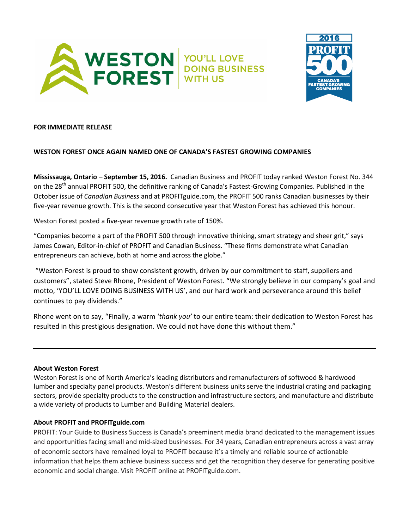



## **FOR IMMEDIATE RELEASE**

# **WESTON FOREST ONCE AGAIN NAMED ONE OF CANADA'S FASTEST GROWING COMPANIES**

**Mississauga, Ontario – September 15, 2016.** Canadian Business and PROFIT today ranked Weston Forest No. 344 on the 28<sup>th</sup> annual PROFIT 500, the definitive ranking of Canada's Fastest-Growing Companies. Published in the October issue of *Canadian Business* and at PROFITguide.com, the PROFIT 500 ranks Canadian businesses by their five-year revenue growth. This is the second consecutive year that Weston Forest has achieved this honour.

Weston Forest posted a five-year revenue growth rate of 150%.

"Companies become a part of the PROFIT 500 through innovative thinking, smart strategy and sheer grit," says James Cowan, Editor-in-chief of PROFIT and Canadian Business. "These firms demonstrate what Canadian entrepreneurs can achieve, both at home and across the globe."

"Weston Forest is proud to show consistent growth, driven by our commitment to staff, suppliers and customers", stated Steve Rhone, President of Weston Forest. "We strongly believe in our company's goal and motto, 'YOU'LL LOVE DOING BUSINESS WITH US', and our hard work and perseverance around this belief continues to pay dividends."

Rhone went on to say, "Finally, a warm '*thank you'* to our entire team: their dedication to Weston Forest has resulted in this prestigious designation. We could not have done this without them."

#### **About Weston Forest**

Weston Forest is one of North America's leading distributors and remanufacturers of softwood & hardwood lumber and specialty panel products. Weston's different business units serve the industrial crating and packaging sectors, provide specialty products to the construction and infrastructure sectors, and manufacture and distribute a wide variety of products to Lumber and Building Material dealers.

#### **About PROFIT and PROFITguide.com**

PROFIT: Your Guide to Business Success is Canada's preeminent media brand dedicated to the management issues and opportunities facing small and mid-sized businesses. For 34 years, Canadian entrepreneurs across a vast array of economic sectors have remained loyal to PROFIT because it's a timely and reliable source of actionable information that helps them achieve business success and get the recognition they deserve for generating positive economic and social change. Visit PROFIT online at PROFITguide.com.